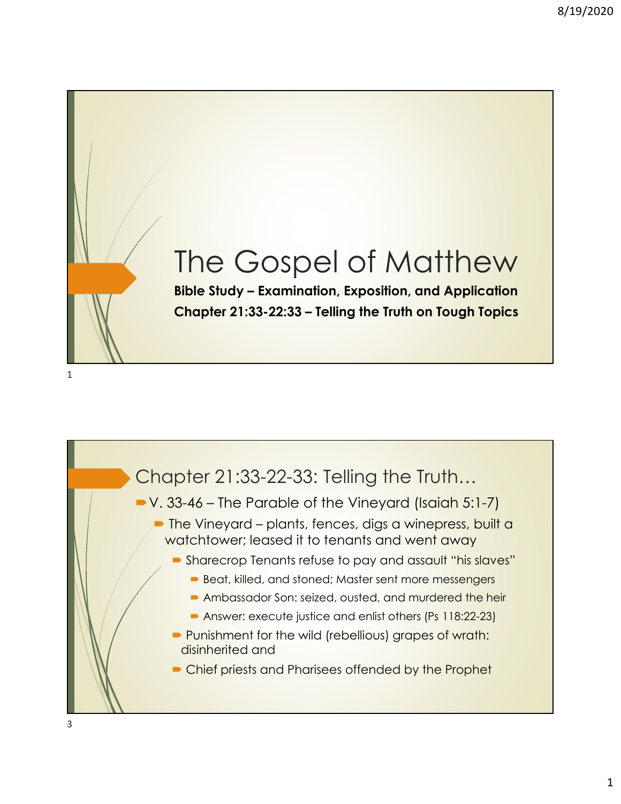